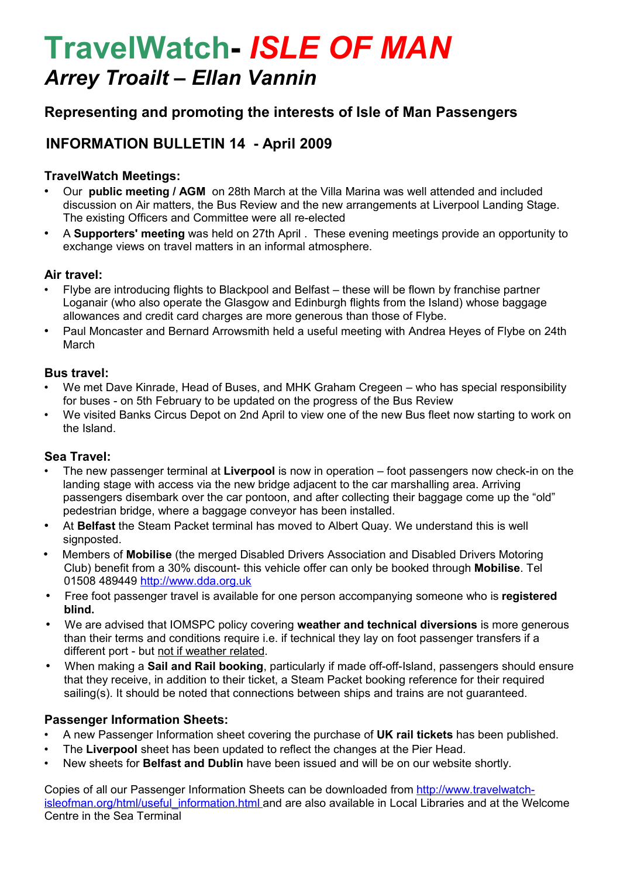# **TravelWatch-** *ISLE OF MAN Arrey Troailt – Ellan Vannin*

# **Representing and promoting the interests of Isle of Man Passengers**

# **INFORMATION BULLETIN 14 - April 2009**

## **TravelWatch Meetings:**

- Our **public meeting / AGM** on 28th March at the Villa Marina was well attended and included discussion on Air matters, the Bus Review and the new arrangements at Liverpool Landing Stage. The existing Officers and Committee were all re-elected
- A **Supporters' meeting** was held on 27th April . These evening meetings provide an opportunity to exchange views on travel matters in an informal atmosphere.

#### **Air travel:**

- Flybe are introducing flights to Blackpool and Belfast these will be flown by franchise partner Loganair (who also operate the Glasgow and Edinburgh flights from the Island) whose baggage allowances and credit card charges are more generous than those of Flybe.
- Paul Moncaster and Bernard Arrowsmith held a useful meeting with Andrea Heyes of Flybe on 24th March

#### **Bus travel:**

- We met Dave Kinrade, Head of Buses, and MHK Graham Cregeen who has special responsibility for buses - on 5th February to be updated on the progress of the Bus Review
- We visited Banks Circus Depot on 2nd April to view one of the new Bus fleet now starting to work on the Island.

## **Sea Travel:**

- The new passenger terminal at **Liverpool** is now in operation foot passengers now check-in on the landing stage with access via the new bridge adjacent to the car marshalling area. Arriving passengers disembark over the car pontoon, and after collecting their baggage come up the "old" pedestrian bridge, where a baggage conveyor has been installed.
- At **Belfast** the Steam Packet terminal has moved to Albert Quay. We understand this is well signposted.
- Members of **Mobilise** (the merged Disabled Drivers Association and Disabled Drivers Motoring Club) benefit from a 30% discount- this vehicle offer can only be booked through **Mobilise**. Tel 01508 489449 [http://www.dda.org.uk](http://www.dda.org.uk/)
- Free foot passenger travel is available for one person accompanying someone who is **registered blind.**
- We are advised that IOMSPC policy covering **weather and technical diversions** is more generous than their terms and conditions require i.e. if technical they lay on foot passenger transfers if a different port - but not if weather related.
- When making a **Sail and Rail booking**, particularly if made off-off-Island, passengers should ensure that they receive, in addition to their ticket, a Steam Packet booking reference for their required sailing(s). It should be noted that connections between ships and trains are not guaranteed.

## **Passenger Information Sheets:**

- A new Passenger Information sheet covering the purchase of **UK rail tickets** has been published.
- The **Liverpool** sheet has been updated to reflect the changes at the Pier Head.
- New sheets for **Belfast and Dublin** have been issued and will be on our website shortly.

Copies of all our Passenger Information Sheets can be downloaded from [http://www.travelwatch](http://www.travelwatch-isleofman.org/html/useful_information.html) isleofman.org/html/useful\_information.html and are also available in Local Libraries and at the Welcome Centre in the Sea Terminal